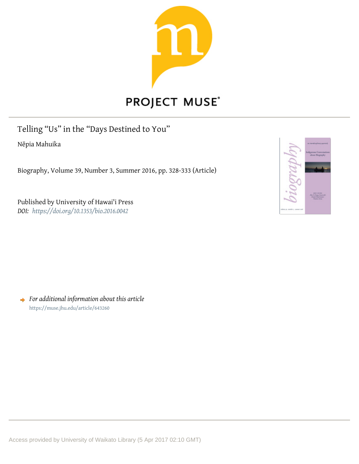

## PROJECT MUSE®

Telling "Us" in the "Days Destined to You"

Nēpia Mahuika

Biography, Volume 39, Number 3, Summer 2016, pp. 328-333 (Article)

Published by University of Hawai'i Press *DOI: <https://doi.org/10.1353/bio.2016.0042>*

|                                                        | deservas configurantes en                                                                             |
|--------------------------------------------------------|-------------------------------------------------------------------------------------------------------|
|                                                        | Indigeness Conversations<br>about Biography                                                           |
|                                                        |                                                                                                       |
|                                                        |                                                                                                       |
|                                                        | <b><i>REGISTERED</i></b><br>The S. Panis Smooth<br><b><i>Daniel Please Janice</i></b><br>Madesi Ariza |
| dictatory 7<br>menter y<br>and a series of the control |                                                                                                       |

*For additional information about this article* <https://muse.jhu.edu/article/643260>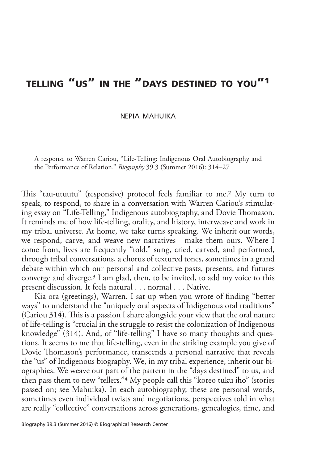## telling "us" in the "days destined to you"1

NEPIA MAHUIKA

A response to Warren Cariou, "Life-Telling: Indigenous Oral Autobiography and the Performance of Relation." *Biography* 39.3 (Summer 2016): 314–27

This "tau-utuutu" (responsive) protocol feels familiar to me.2 My turn to speak, to respond, to share in a conversation with Warren Cariou's stimulating essay on "Life-Telling," Indigenous autobiography, and Dovie Thomason. It reminds me of how life-telling, orality, and history, interweave and work in my tribal universe. At home, we take turns speaking. We inherit our words, we respond, carve, and weave new narratives—make them ours. Where I come from, lives are frequently "told," sung, cried, carved, and performed, through tribal conversations, a chorus of textured tones, sometimes in a grand debate within which our personal and collective pasts, presents, and futures converge and diverge.3 I am glad, then, to be invited, to add my voice to this present discussion. It feels natural . . . normal . . . Native.

Kia ora (greetings), Warren. I sat up when you wrote of finding "better ways" to understand the "uniquely oral aspects of Indigenous oral traditions" (Cariou 314). This is a passion I share alongside your view that the oral nature of life-telling is "crucial in the struggle to resist the colonization of Indigenous knowledge" (314). And, of "life-telling" I have so many thoughts and questions. It seems to me that life-telling, even in the striking example you give of Dovie Thomason's performance, transcends a personal narrative that reveals the "us" of Indigenous biography. We, in my tribal experience, inherit our biographies. We weave our part of the pattern in the "days destined" to us, and then pass them to new "tellers."4 My people call this "kōreo tuku iho" (stories passed on; see Mahuika). In each autobiography, these are personal words, sometimes even individual twists and negotiations, perspectives told in what are really "collective" conversations across generations, genealogies, time, and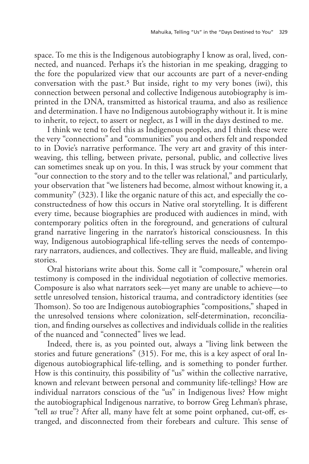space. To me this is the Indigenous autobiography I know as oral, lived, connected, and nuanced. Perhaps it's the historian in me speaking, dragging to the fore the popularized view that our accounts are part of a never-ending conversation with the past.5 But inside, right to my very bones (iwi), this connection between personal and collective Indigenous autobiography is imprinted in the DNA, transmitted as historical trauma, and also as resilience and determination. I have no Indigenous autobiography without it. It is mine to inherit, to reject, to assert or neglect, as I will in the days destined to me.

I think we tend to feel this as Indigenous peoples, and I think these were the very "connections" and "communities" you and others felt and responded to in Dovie's narrative performance. The very art and gravity of this interweaving, this telling, between private, personal, public, and collective lives can sometimes sneak up on you. In this, I was struck by your comment that "our connection to the story and to the teller was relational," and particularly, your observation that "we listeners had become, almost without knowing it, a community" (323). I like the organic nature of this act, and especially the coconstructedness of how this occurs in Native oral storytelling. It is different every time, because biographies are produced with audiences in mind, with contemporary politics often in the foreground, and generations of cultural grand narrative lingering in the narrator's historical consciousness. In this way, Indigenous autobiographical life-telling serves the needs of contemporary narrators, audiences, and collectives. They are fluid, malleable, and living stories.

Oral historians write about this. Some call it "composure," wherein oral testimony is composed in the individual negotiation of collective memories. Composure is also what narrators seek—yet many are unable to achieve—to settle unresolved tension, historical trauma, and contradictory identities (see Thomson). So too are Indigenous autobiographies "compositions," shaped in the unresolved tensions where colonization, self-determination, reconciliation, and finding ourselves as collectives and individuals collide in the realities of the nuanced and "connected" lives we lead.

Indeed, there is, as you pointed out, always a "living link between the stories and future generations" (315). For me, this is a key aspect of oral Indigenous autobiographical life-telling, and is something to ponder further. How is this continuity, this possibility of "us" within the collective narrative, known and relevant between personal and community life-tellings? How are individual narrators conscious of the "us" in Indigenous lives? How might the autobiographical Indigenous narrative, to borrow Greg Lehman's phrase, "tell *us* true"? After all, many have felt at some point orphaned, cut-off, estranged, and disconnected from their forebears and culture. This sense of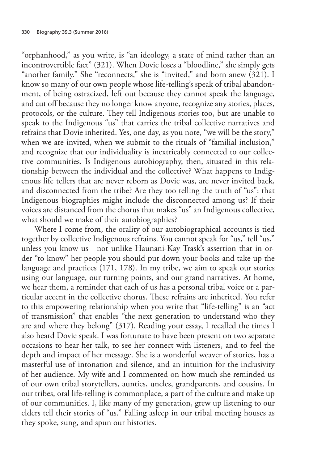"orphanhood," as you write, is "an ideology, a state of mind rather than an incontrovertible fact" (321). When Dovie loses a "bloodline," she simply gets "another family." She "reconnects," she is "invited," and born anew (321). I know so many of our own people whose life-telling's speak of tribal abandonment, of being ostracized, left out because they cannot speak the language, and cut off because they no longer know anyone, recognize any stories, places, protocols, or the culture. They tell Indigenous stories too, but are unable to speak to the Indigenous "us" that carries the tribal collective narratives and refrains that Dovie inherited. Yes, one day, as you note, "we will be the story," when we are invited, when we submit to the rituals of "familial inclusion," and recognize that our individuality is inextricably connected to our collective communities. Is Indigenous autobiography, then, situated in this relationship between the individual and the collective? What happens to Indigenous life tellers that are never reborn as Dovie was, are never invited back, and disconnected from the tribe? Are they too telling the truth of "us": that Indigenous biographies might include the disconnected among us? If their voices are distanced from the chorus that makes "us" an Indigenous collective, what should we make of their autobiographies?

Where I come from, the orality of our autobiographical accounts is tied together by collective Indigenous refrains. You cannot speak for "us," tell "us," unless you know us—not unlike Haunani-Kay Trask's assertion that in order "to know" her people you should put down your books and take up the language and practices (171, 178). In my tribe, we aim to speak our stories using our language, our turning points, and our grand narratives. At home, we hear them, a reminder that each of us has a personal tribal voice or a particular accent in the collective chorus. These refrains are inherited. You refer to this empowering relationship when you write that "life-telling" is an "act of transmission" that enables "the next generation to understand who they are and where they belong" (317). Reading your essay, I recalled the times I also heard Dovie speak. I was fortunate to have been present on two separate occasions to hear her talk, to see her connect with listeners, and to feel the depth and impact of her message. She is a wonderful weaver of stories, has a masterful use of intonation and silence, and an intuition for the inclusivity of her audience. My wife and I commented on how much she reminded us of our own tribal storytellers, aunties, uncles, grandparents, and cousins. In our tribes, oral life-telling is commonplace, a part of the culture and make up of our communities. I, like many of my generation, grew up listening to our elders tell their stories of "us." Falling asleep in our tribal meeting houses as they spoke, sung, and spun our histories.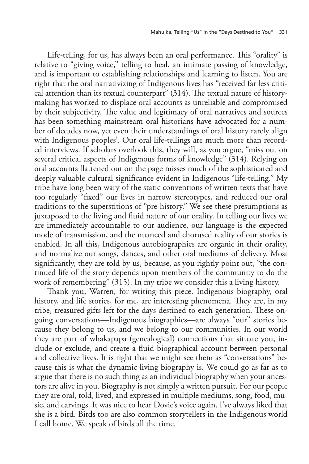Life-telling, for us, has always been an oral performance. This "orality" is relative to "giving voice," telling to heal, an intimate passing of knowledge, and is important to establishing relationships and learning to listen. You are right that the oral narrativizing of Indigenous lives has "received far less critical attention than its textual counterpart" (314). The textual nature of historymaking has worked to displace oral accounts as unreliable and compromised by their subjectivity. The value and legitimacy of oral narratives and sources has been something mainstream oral historians have advocated for a number of decades now, yet even their understandings of oral history rarely align with Indigenous peoples'. Our oral life-tellings are much more than recorded interviews. If scholars overlook this, they will, as you argue, "miss out on several critical aspects of Indigenous forms of knowledge" (314). Relying on oral accounts flattened out on the page misses much of the sophisticated and deeply valuable cultural significance evident in Indigenous "life-telling." My tribe have long been wary of the static conventions of written texts that have too regularly "fixed" our lives in narrow stereotypes, and reduced our oral traditions to the superstitions of "pre-history." We see these presumptions as juxtaposed to the living and fluid nature of our orality. In telling our lives we are immediately accountable to our audience, our language is the expected mode of transmission, and the nuanced and chorused reality of our stories is enabled. In all this, Indigenous autobiographies are organic in their orality, and normalize our songs, dances, and other oral mediums of delivery. Most significantly, they are told by us, because, as you rightly point out, "the continued life of the story depends upon members of the community to do the work of remembering" (315). In my tribe we consider this a living history.

Thank you, Warren, for writing this piece. Indigenous biography, oral history, and life stories, for me, are interesting phenomena. They are, in my tribe, treasured gifts left for the days destined to each generation. These ongoing conversations—Indigenous biographies—are always "our" stories because they belong to us, and we belong to our communities. In our world they are part of whakapapa (genealogical) connections that situate you, include or exclude, and create a fluid biographical account between personal and collective lives. It is right that we might see them as "conversations" because this is what the dynamic living biography is. We could go as far as to argue that there is no such thing as an individual biography when your ancestors are alive in you. Biography is not simply a written pursuit. For our people they are oral, told, lived, and expressed in multiple mediums, song, food, music, and carvings. It was nice to hear Dovie's voice again. I've always liked that she is a bird. Birds too are also common storytellers in the Indigenous world I call home. We speak of birds all the time.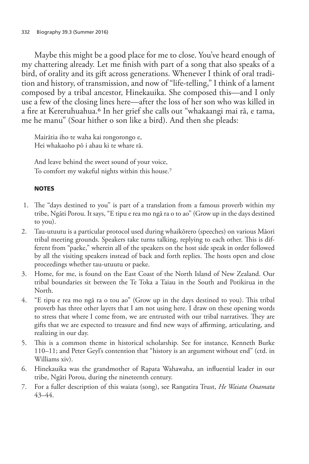Maybe this might be a good place for me to close. You've heard enough of my chattering already. Let me finish with part of a song that also speaks of a bird, of orality and its gift across generations. Whenever I think of oral tradition and history, of transmission, and now of "life-telling," I think of a lament composed by a tribal ancestor, Hinekauika. She composed this—and I only use a few of the closing lines here—after the loss of her son who was killed in a fire at Kereruhuahua.6 In her grief she calls out "whakaangi mai rā, e tama, me he manu" (Soar hither o son like a bird). And then she pleads:

Mairātia iho te waha kai rongorongo e, Hei whakaoho pō i ahau ki te whare rā.

And leave behind the sweet sound of your voice, To comfort my wakeful nights within this house.7

## **NOTES**

- 1. The "days destined to you" is part of a translation from a famous proverb within my tribe, Ngāti Porou. It says, "E tipu e rea mo ngā ra o to ao" (Grow up in the days destined to you).
- 2. Tau-utuutu is a particular protocol used during whaikōrero (speeches) on various Māori tribal meeting grounds. Speakers take turns talking, replying to each other. This is different from "paeke," wherein all of the speakers on the host side speak in order followed by all the visiting speakers instead of back and forth replies. The hosts open and close proceedings whether tau-utuutu or paeke.
- 3. Home, for me, is found on the East Coast of the North Island of New Zealand. Our tribal boundaries sit between the Te Toka a Taiau in the South and Potikirua in the North.
- 4. "E tipu e rea mo ngā ra o tou ao" (Grow up in the days destined to you). This tribal proverb has three other layers that I am not using here. I draw on these opening words to stress that where I come from, we are entrusted with our tribal narratives. They are gifts that we are expected to treasure and find new ways of affirming, articulating, and realizing in our day.
- 5. This is a common theme in historical scholarship. See for instance, Kenneth Burke 110–11; and Peter Geyl's contention that "history is an argument without end" (ctd. in Williams xiv).
- 6. Hinekauika was the grandmother of Rapata Wahawaha, an influential leader in our tribe, Ngāti Porou, during the nineteenth century.
- 7. For a fuller description of this waiata (song), see Rangatira Trust, *He Waiata Onamata*  43–44.